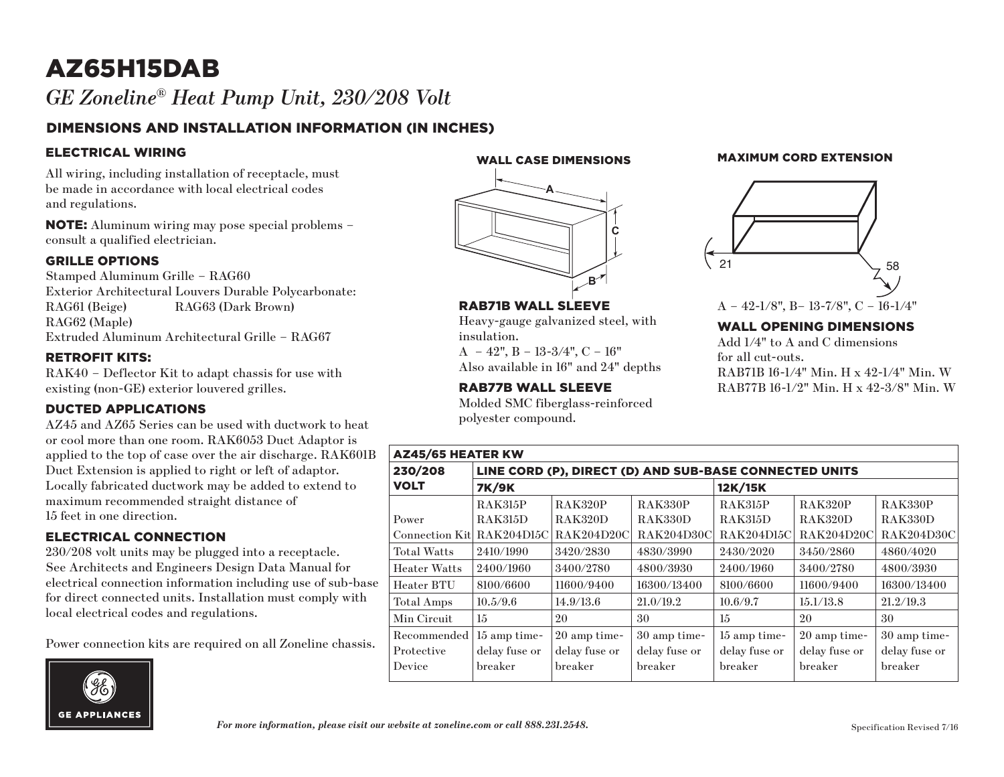## AZ65H15DAB *GE Zoneline® Heat Pump Unit, 230/208 Volt*

### DIMENSIONS AND INSTALLATION INFORMATION (IN INCHES)

#### ELECTRICAL WIRING

All wiring, including installation of receptacle, must be made in accordance with local electrical codes and regulations.

NOTE: Aluminum wiring may pose special problems – consult a qualified electrician.

#### GRILLE OPTIONS

Stamped Aluminum Grille – RAG60 Exterior Architectural Louvers Durable Polycarbonate: RAG61 (Beige) RAG63 (Dark Brown) RAG62 (Maple) Extruded Aluminum Architectural Grille – RAG67

#### RETROFIT KITS:

RAK40 – Deflector Kit to adapt chassis for use with existing (non-GE) exterior louvered grilles.

#### DUCTED APPLICATIONS

AZ45 and AZ65 Series can be used with ductwork to heat or cool more than one room. RAK6053 Duct Adaptor is applied to the top of case over the air discharge. RAK601B Duct Extension is applied to right or left of adaptor. Locally fabricated ductwork may be added to extend to maximum recommended straight distance of 15 feet in one direction.

#### ELECTRICAL CONNECTION

230/208 volt units may be plugged into a receptacle. See Architects and Engineers Design Data Manual for electrical connection information including use of sub-base for direct connected units. Installation must comply with local electrical codes and regulations.

Power connection kits are required on all Zoneline chassis.



WALL CASE DIMENSIONS



RAB71B WALL SLEEVE

 $A - 42$ ",  $B - 13-3/4$ ",  $C - 16$ " Also available in 16" and 24" depths

RAB77B WALL SLEEVE

polyester compound.

insulation.

Heavy-gauge galvanized steel, with

Molded SMC fiberglass-reinforced

#### MAXIMUM CORD EXTENSION



### WALL OPENING DIMENSIONS

Add 1/4" to A and C dimensions for all cut-outs. RAB71B 16-1/4" Min. H x 42-1/4" Min. W RAB77B 16-1/2" Min. H x 42-3/8" Min. W

| <b>AZ45/65 HEATER KW</b>   |                                                        |                   |                   |                   |                   |                   |
|----------------------------|--------------------------------------------------------|-------------------|-------------------|-------------------|-------------------|-------------------|
| 230/208                    | LINE CORD (P), DIRECT (D) AND SUB-BASE CONNECTED UNITS |                   |                   |                   |                   |                   |
| <b>VOLT</b>                | <b>7K/9K</b>                                           |                   |                   | 12K/15K           |                   |                   |
|                            | <b>RAK315P</b>                                         | <b>RAK320P</b>    | <b>RAK330P</b>    | <b>RAK315P</b>    | <b>RAK320P</b>    | <b>RAK330P</b>    |
| Power                      | <b>RAK315D</b>                                         | <b>RAK320D</b>    | RAK330D           | <b>RAK315D</b>    | <b>RAK320D</b>    | <b>RAK330D</b>    |
| Connection Kitl RAK204D15C |                                                        | <b>RAK204D20C</b> | <b>RAK204D30C</b> | <b>RAK204D15C</b> | <b>RAK204D20C</b> | <b>RAK204D30C</b> |
| <b>Total Watts</b>         | 2410/1990                                              | 3420/2830         | 4830/3990         | 2430/2020         | 3450/2860         | 4860/4020         |
| <b>Heater Watts</b>        | 2400/1960                                              | 3400/2780         | 4800/3930         | 2400/1960         | 3400/2780         | 4800/3930         |
| Heater BTU                 | 8100/6600                                              | 11600/9400        | 16300/13400       | 8100/6600         | 11600/9400        | 16300/13400       |
| Total Amps                 | 10.5/9.6                                               | 14.9/13.6         | 21.0/19.2         | 10.6/9.7          | 15.1/13.8         | 21.2/19.3         |
| Min Circuit                | 15                                                     | 20                | 30                | 15                | 20                | 30                |
| Recommended                | 15 amp time-                                           | 20 amp time-      | 30 amp time-      | 15 amp time-      | 20 amp time-      | 30 amp time-      |
| Protective                 | delay fuse or                                          | delay fuse or     | delay fuse or     | delay fuse or     | delay fuse or     | delay fuse or     |
| Device                     | breaker                                                | breaker           | breaker           | breaker           | breaker           | breaker           |